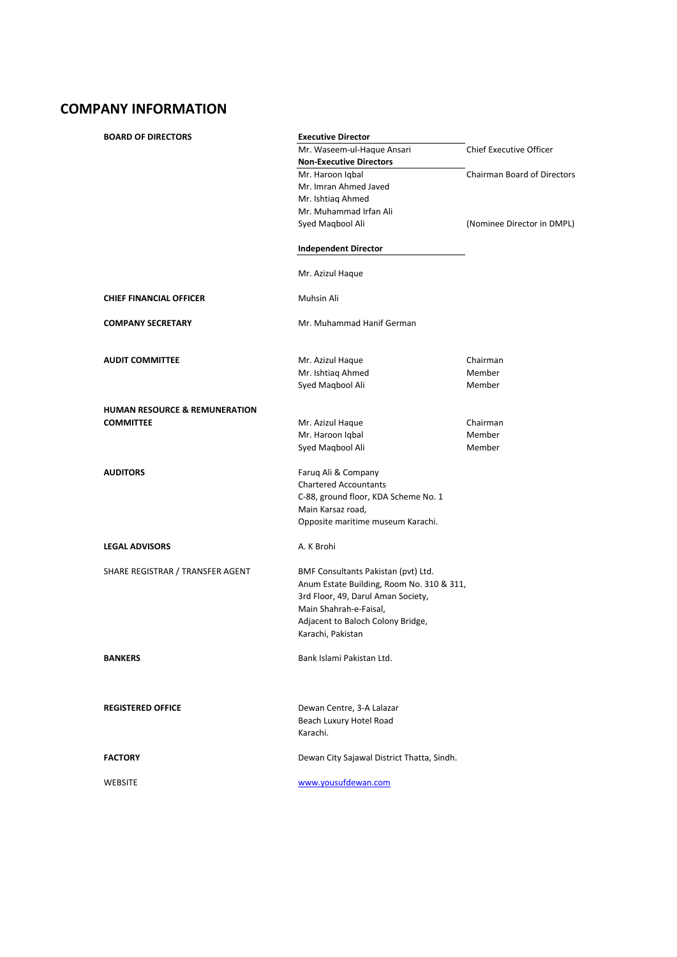# **COMPANY INFORMATION**

| <b>BOARD OF DIRECTORS</b>                | <b>Executive Director</b>                  |                                    |
|------------------------------------------|--------------------------------------------|------------------------------------|
|                                          | Mr. Waseem-ul-Haque Ansari                 | Chief Executive Officer            |
|                                          | <b>Non-Executive Directors</b>             |                                    |
|                                          | Mr. Haroon Iqbal                           | <b>Chairman Board of Directors</b> |
|                                          | Mr. Imran Ahmed Javed                      |                                    |
|                                          | Mr. Ishtiag Ahmed                          |                                    |
|                                          | Mr. Muhammad Irfan Ali                     |                                    |
|                                          | Syed Magbool Ali                           | (Nominee Director in DMPL)         |
|                                          | <b>Independent Director</b>                |                                    |
|                                          | Mr. Azizul Haque                           |                                    |
| <b>CHIEF FINANCIAL OFFICER</b>           | Muhsin Ali                                 |                                    |
| <b>COMPANY SECRETARY</b>                 | Mr. Muhammad Hanif German                  |                                    |
| <b>AUDIT COMMITTEE</b>                   | Mr. Azizul Haque                           | Chairman                           |
|                                          | Mr. Ishtiaq Ahmed                          | Member                             |
|                                          | Syed Magbool Ali                           | Member                             |
| <b>HUMAN RESOURCE &amp; REMUNERATION</b> |                                            |                                    |
| <b>COMMITTEE</b>                         | Mr. Azizul Haque                           | Chairman                           |
|                                          | Mr. Haroon Iqbal                           | Member                             |
|                                          | Syed Magbool Ali                           | Member                             |
|                                          |                                            |                                    |
| <b>AUDITORS</b>                          | Farug Ali & Company                        |                                    |
|                                          | <b>Chartered Accountants</b>               |                                    |
|                                          | C-88, ground floor, KDA Scheme No. 1       |                                    |
|                                          | Main Karsaz road,                          |                                    |
|                                          | Opposite maritime museum Karachi.          |                                    |
| <b>LEGAL ADVISORS</b>                    | A. K Brohi                                 |                                    |
| SHARE REGISTRAR / TRANSFER AGENT         | BMF Consultants Pakistan (pvt) Ltd.        |                                    |
|                                          | Anum Estate Building, Room No. 310 & 311,  |                                    |
|                                          | 3rd Floor, 49, Darul Aman Society,         |                                    |
|                                          | Main Shahrah-e-Faisal,                     |                                    |
|                                          | Adjacent to Baloch Colony Bridge,          |                                    |
|                                          | Karachi, Pakistan                          |                                    |
| <b>BANKERS</b>                           | Bank Islami Pakistan Ltd.                  |                                    |
|                                          |                                            |                                    |
| <b>REGISTERED OFFICE</b>                 | Dewan Centre, 3-A Lalazar                  |                                    |
|                                          | Beach Luxury Hotel Road                    |                                    |
|                                          | Karachi.                                   |                                    |
| <b>FACTORY</b>                           | Dewan City Sajawal District Thatta, Sindh. |                                    |
| <b>WEBSITE</b>                           | www.yousufdewan.com                        |                                    |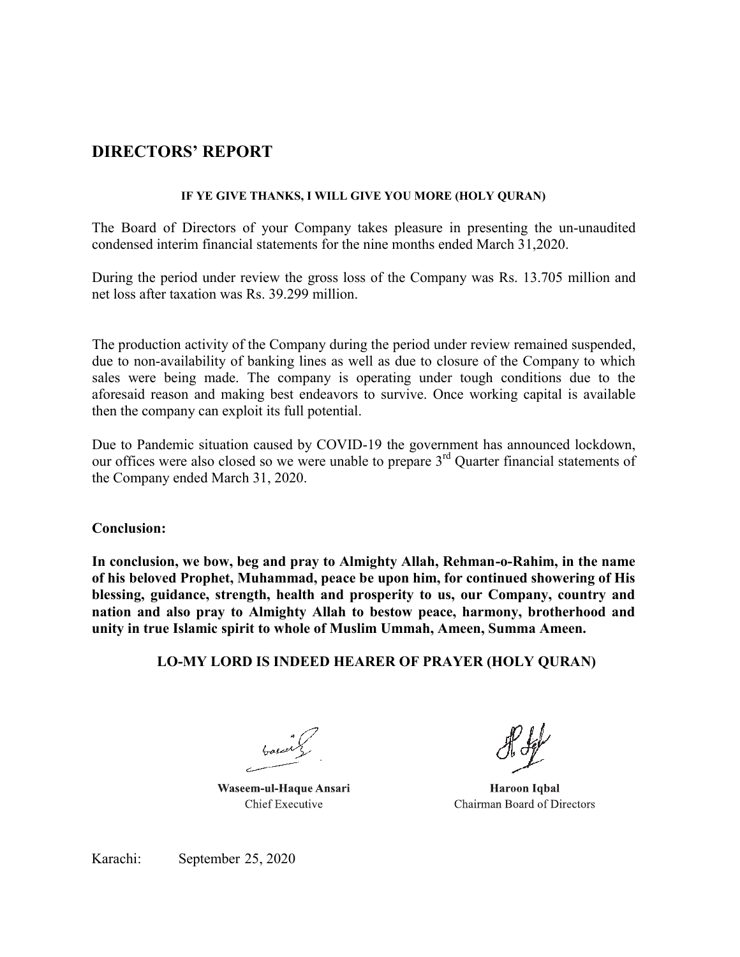# **DIRECTORS' REPORT**

# **IF YE GIVE THANKS, I WILL GIVE YOU MORE (HOLY QURAN)**

The Board of Directors of your Company takes pleasure in presenting the un-unaudited condensed interim financial statements for the nine months ended March 31,2020.

During the period under review the gross loss of the Company was Rs. 13.705 million and net loss after taxation was Rs. 39.299 million.

The production activity of the Company during the period under review remained suspended, due to non-availability of banking lines as well as due to closure of the Company to which sales were being made. The company is operating under tough conditions due to the aforesaid reason and making best endeavors to survive. Once working capital is available then the company can exploit its full potential.

Due to Pandemic situation caused by COVID-19 the government has announced lockdown, our offices were also closed so we were unable to prepare 3rd Quarter financial statements of the Company ended March 31, 2020.

# **Conclusion:**

**In conclusion, we bow, beg and pray to Almighty Allah, Rehman-o-Rahim, in the name of his beloved Prophet, Muhammad, peace be upon him, for continued showering of His blessing, guidance, strength, health and prosperity to us, our Company, country and nation and also pray to Almighty Allah to bestow peace, harmony, brotherhood and unity in true Islamic spirit to whole of Muslim Ummah, Ameen, Summa Ameen.**

# **LO-MY LORD IS INDEED HEARER OF PRAYER (HOLY QURAN)**

Waseem-ul-Haque Ansari **Chief Executive** 

**Haroon Iqbal** Chairman Board of Directors

Karachi: September 25, 2020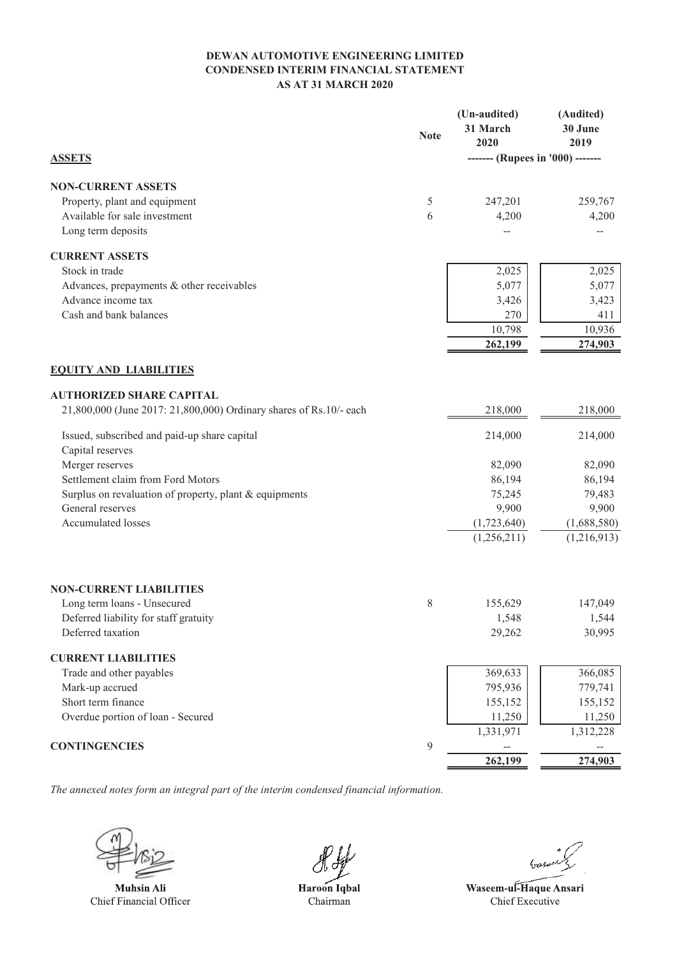# **DEWAN AUTOMOTIVE ENGINEERING LIMITED CONDENSED INTERIM FINANCIAL STATEMENT AS AT 31 MARCH 2020**

|                                                                    | <b>Note</b> | (Un-audited)<br>31 March<br>2020 | (Audited)<br>30 June<br>2019 |
|--------------------------------------------------------------------|-------------|----------------------------------|------------------------------|
| <b>ASSETS</b>                                                      |             | ------- (Rupees in '000) ------- |                              |
| <b>NON-CURRENT ASSETS</b>                                          |             |                                  |                              |
| Property, plant and equipment                                      | 5           | 247,201                          | 259,767                      |
| Available for sale investment                                      | 6           | 4,200                            | 4,200                        |
| Long term deposits                                                 |             |                                  |                              |
| <b>CURRENT ASSETS</b>                                              |             |                                  |                              |
| Stock in trade                                                     |             | 2,025                            | 2,025                        |
| Advances, prepayments & other receivables                          |             | 5,077                            | 5,077                        |
| Advance income tax                                                 |             | 3,426                            | 3,423                        |
| Cash and bank balances                                             |             | 270                              | 411                          |
|                                                                    |             | 10,798                           | 10,936                       |
|                                                                    |             | 262,199                          | 274,903                      |
| <b>EQUITY AND LIABILITIES</b>                                      |             |                                  |                              |
| <b>AUTHORIZED SHARE CAPITAL</b>                                    |             |                                  |                              |
| 21,800,000 (June 2017: 21,800,000) Ordinary shares of Rs.10/- each |             | 218,000                          | 218,000                      |
| Issued, subscribed and paid-up share capital                       |             | 214,000                          | 214,000                      |
| Capital reserves                                                   |             |                                  |                              |
| Merger reserves                                                    |             | 82,090                           | 82,090                       |
| Settlement claim from Ford Motors                                  |             | 86,194                           | 86,194                       |
| Surplus on revaluation of property, plant & equipments             |             | 75,245                           | 79,483                       |
| General reserves                                                   |             | 9,900                            | 9,900                        |
| <b>Accumulated losses</b>                                          |             | (1,723,640)                      | (1,688,580)                  |
|                                                                    |             | (1,256,211)                      | (1,216,913)                  |
| <b>NON-CURRENT LIABILITIES</b>                                     |             |                                  |                              |
| Long term loans - Unsecured                                        | 8           | 155,629                          | 147,049                      |
| Deferred liability for staff gratuity                              |             | 1,548                            | 1,544                        |
| Deferred taxation                                                  |             | 29,262                           | 30,995                       |
| <b>CURRENT LIABILITIES</b>                                         |             |                                  |                              |
| Trade and other payables                                           |             | 369,633                          | 366,085                      |
| Mark-up accrued                                                    |             | 795,936                          | 779,741                      |
| Short term finance                                                 |             | 155,152                          | 155,152                      |
| Overdue portion of loan - Secured                                  |             | 11,250                           | 11,250                       |
| <b>CONTINGENCIES</b>                                               | 9           | 1,331,971                        | 1,312,228                    |
|                                                                    |             | 262,199                          | 274,903                      |
|                                                                    |             |                                  |                              |

*The annexed notes form an integral part of the interim condensed financial information.*

**Muhsin Ali** Chief Financial Officer

Haroon Iqbal Chairman

Waseem-ul-Haque Ansari Chief Executive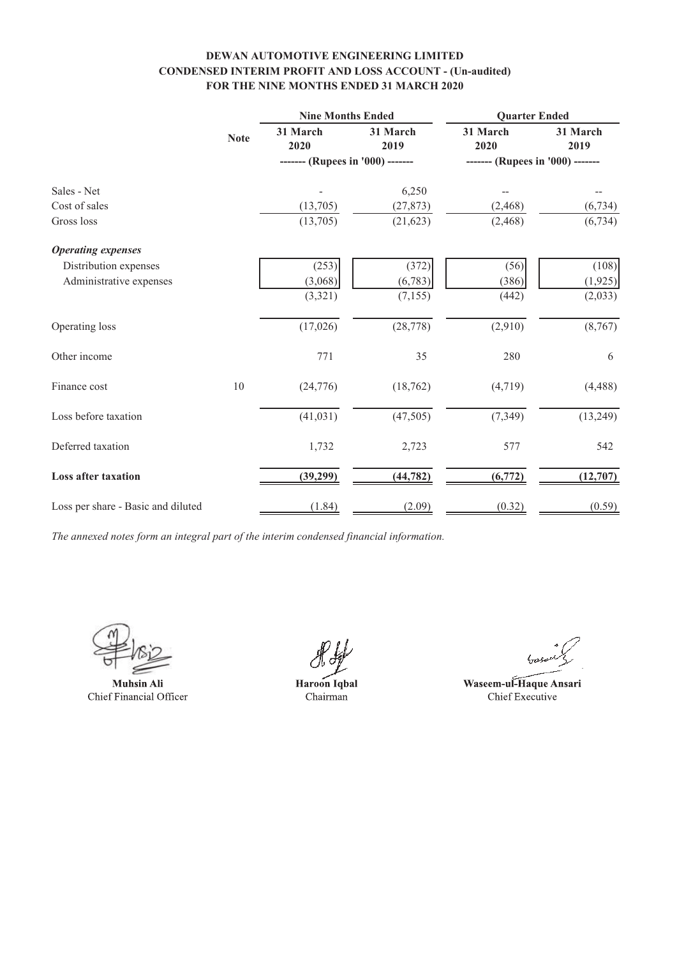# **DEWAN AUTOMOTIVE ENGINEERING LIMITED CONDENSED INTERIM PROFIT AND LOSS ACCOUNT - (Un-audited) FOR THE NINE MONTHS ENDED 31 MARCH 2020**

|                                    |             | <b>Nine Months Ended</b>         |                  | <b>Quarter Ended</b> |                                  |  |  |
|------------------------------------|-------------|----------------------------------|------------------|----------------------|----------------------------------|--|--|
|                                    | <b>Note</b> | 31 March<br>2020                 | 31 March<br>2019 | 31 March<br>2020     | 31 March<br>2019                 |  |  |
|                                    |             | ------- (Rupees in '000) ------- |                  |                      | ------- (Rupees in '000) ------- |  |  |
| Sales - Net                        |             |                                  | 6,250            |                      |                                  |  |  |
| Cost of sales                      |             | (13,705)                         | (27, 873)        | (2, 468)             | (6, 734)                         |  |  |
| Gross loss                         |             | (13,705)                         | (21, 623)        | (2, 468)             | (6, 734)                         |  |  |
| <b>Operating expenses</b>          |             |                                  |                  |                      |                                  |  |  |
| Distribution expenses              |             | (253)                            | (372)            | (56)                 | (108)                            |  |  |
| Administrative expenses            |             | (3,068)                          | (6, 783)         | (386)                | (1,925)                          |  |  |
|                                    |             | (3,321)                          | (7, 155)         | (442)                | (2,033)                          |  |  |
| Operating loss                     |             | (17,026)                         | (28, 778)        | (2,910)              | (8,767)                          |  |  |
| Other income                       |             | 771                              | 35               | 280                  | 6                                |  |  |
| Finance cost                       | 10          | (24, 776)                        | (18, 762)        | (4,719)              | (4, 488)                         |  |  |
| Loss before taxation               |             | (41, 031)                        | (47,505)         | (7, 349)             | (13,249)                         |  |  |
| Deferred taxation                  |             | 1,732                            | 2,723            | 577                  | 542                              |  |  |
| <b>Loss after taxation</b>         |             | (39,299)                         | (44, 782)        | (6, 772)             | (12,707)                         |  |  |
| Loss per share - Basic and diluted |             | (1.84)                           | (2.09)           | (0.32)               | (0.59)                           |  |  |

**Muhsin Ali** Chief Financial Officer

Haroon Iqbal Chairman

Waseem-ul-Haque Ansari Chief Executive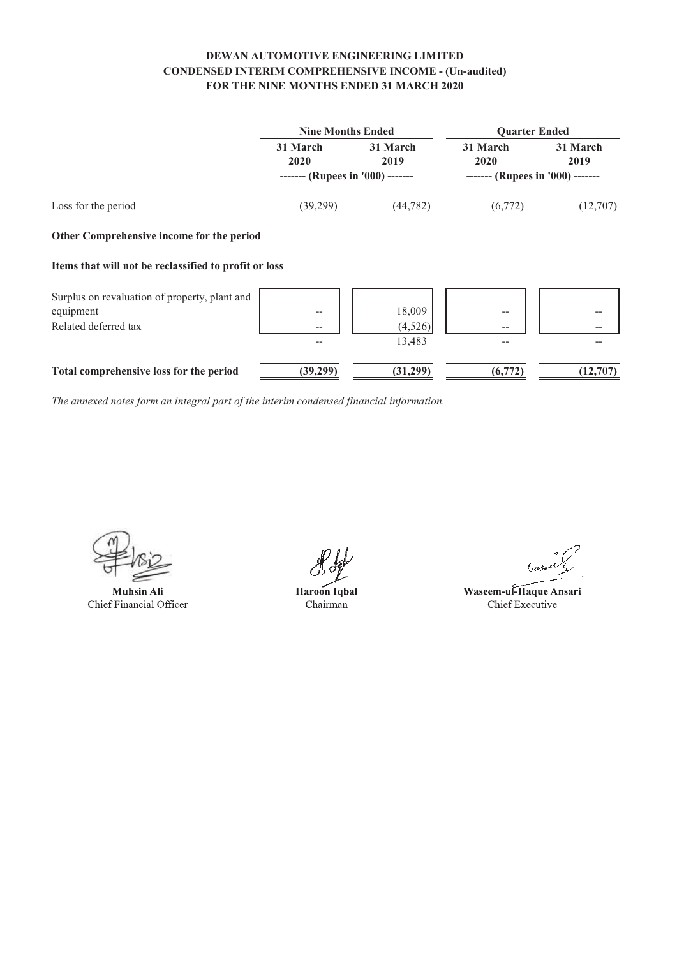# **DEWAN AUTOMOTIVE ENGINEERING LIMITED CONDENSED INTERIM COMPREHENSIVE INCOME - (Un-audited) FOR THE NINE MONTHS ENDED 31 MARCH 2020**

|                                                       | <b>Nine Months Ended</b>         |                   | <b>Quarter Ended</b>             |                  |
|-------------------------------------------------------|----------------------------------|-------------------|----------------------------------|------------------|
|                                                       | 31 March<br>2020                 | 31 March<br>2019  | 31 March<br>2020                 | 31 March<br>2019 |
|                                                       | ------- (Rupees in '000) ------- |                   | ------- (Rupees in '000) ------- |                  |
| Loss for the period                                   | (39,299)                         | (44, 782)         | (6,772)                          | (12,707)         |
| Other Comprehensive income for the period             |                                  |                   |                                  |                  |
| Items that will not be reclassified to profit or loss |                                  |                   |                                  |                  |
| Surplus on revaluation of property, plant and         |                                  |                   |                                  |                  |
| equipment<br>Related deferred tax                     | --<br>--                         | 18,009<br>(4,526) | --<br>--                         |                  |
|                                                       |                                  | 13,483            |                                  |                  |
| Total comprehensive loss for the period               | (39,299)                         | (31,299)          | (6,772)                          | (12,707)         |

**Muhsin Ali** Chief Financial Officer

Haroon Iqbal Chairman

Waseem-ul-Haque Ansari Chief Executive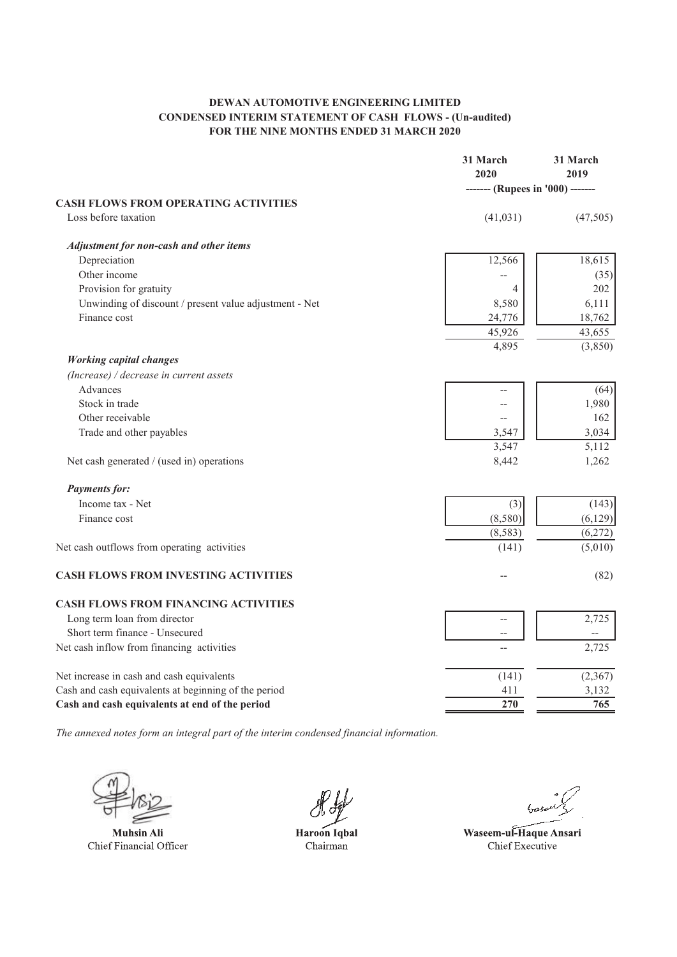# **DEWAN AUTOMOTIVE ENGINEERING LIMITED CONDENSED INTERIM STATEMENT OF CASH FLOWS - (Un-audited) FOR THE NINE MONTHS ENDED 31 MARCH 2020**

|                                                                     | 31 March<br>2020                 | 31 March<br>2019 |
|---------------------------------------------------------------------|----------------------------------|------------------|
|                                                                     | ------- (Rupees in '000) ------- |                  |
| <b>CASH FLOWS FROM OPERATING ACTIVITIES</b><br>Loss before taxation | (41, 031)                        | (47,505)         |
| <b>Adjustment for non-cash and other items</b>                      |                                  |                  |
| Depreciation                                                        | 12,566                           | 18,615           |
| Other income                                                        |                                  | (35)             |
| Provision for gratuity                                              | 4                                | 202              |
| Unwinding of discount / present value adjustment - Net              | 8,580                            | 6,111            |
| Finance cost                                                        | 24,776                           | 18,762           |
|                                                                     | 45,926                           | 43,655           |
|                                                                     | 4,895                            | (3,850)          |
| <b>Working capital changes</b>                                      |                                  |                  |
| (Increase) / decrease in current assets                             |                                  |                  |
| Advances                                                            |                                  | (64)             |
| Stock in trade                                                      |                                  | 1,980            |
| Other receivable                                                    |                                  | 162              |
| Trade and other payables                                            | 3,547                            | 3,034            |
|                                                                     | 3,547                            | 5,112            |
| Net cash generated / (used in) operations                           | 8,442                            | 1,262            |
| <b>Payments for:</b>                                                |                                  |                  |
| Income tax - Net                                                    | (3)                              | (143)            |
| Finance cost                                                        | (8,580)                          | (6, 129)         |
|                                                                     | (8, 583)                         | (6,272)          |
| Net cash outflows from operating activities                         | (141)                            | (5,010)          |
| <b>CASH FLOWS FROM INVESTING ACTIVITIES</b>                         |                                  | (82)             |
| <b>CASH FLOWS FROM FINANCING ACTIVITIES</b>                         |                                  |                  |
| Long term loan from director                                        | --                               | 2,725            |
| Short term finance - Unsecured                                      | $\overline{\phantom{a}}$         |                  |
| Net cash inflow from financing activities                           |                                  | 2,725            |
| Net increase in cash and cash equivalents                           | (141)                            | (2,367)          |
| Cash and cash equivalents at beginning of the period                | 411                              | 3,132            |
| Cash and cash equivalents at end of the period                      | 270                              | 765              |

**Muhsin Ali** Chief Financial Officer

Haroon Iqbal Chairman

Waseem-ul-Haque Ansari Chief Executive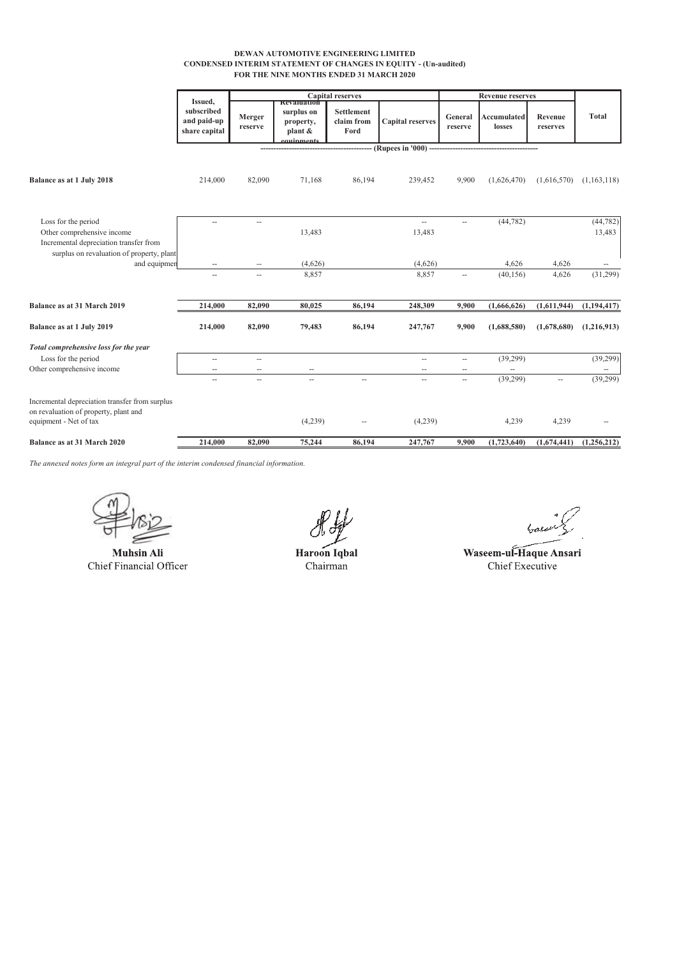#### **DEWAN AUTOMOTIVE ENGINEERING LIMITED CONDENSED INTERIM STATEMENT OF CHANGES IN EQUITY - (Un-audited) FOR THE NINE MONTHS ENDED 31 MARCH 2020**

|                                                                                                                   |                                                       |                   |                                                                       | <b>Capital reserves</b>          |                                    | <b>Revenue reserves</b>  |                       |                     |                          |
|-------------------------------------------------------------------------------------------------------------------|-------------------------------------------------------|-------------------|-----------------------------------------------------------------------|----------------------------------|------------------------------------|--------------------------|-----------------------|---------------------|--------------------------|
|                                                                                                                   | Issued,<br>subscribed<br>and paid-up<br>share capital | Merger<br>reserve | <b>KEYAHURULOI</b><br>surplus on<br>property,<br>plant &<br>auinments | Settlement<br>claim from<br>Ford | <b>Capital reserves</b>            | General<br>reserve       | Accumulated<br>losses | Revenue<br>reserves | <b>Total</b>             |
|                                                                                                                   |                                                       |                   |                                                                       |                                  | (Rupees in '000) --                |                          |                       |                     |                          |
| Balance as at 1 July 2018                                                                                         | 214,000                                               | 82,090            | 71,168                                                                | 86,194                           | 239,452                            | 9,900                    | (1,626,470)           | (1,616,570)         | (1,163,118)              |
| Loss for the period<br>Other comprehensive income<br>Incremental depreciation transfer from                       | $\overline{a}$                                        | --                | 13,483                                                                |                                  | $\overline{\phantom{a}}$<br>13,483 | $\overline{a}$           | (44, 782)             |                     | (44, 782)<br>13,483      |
| surplus on revaluation of property, plant<br>and equipmen                                                         | $\overline{\phantom{a}}$                              | --                | (4,626)                                                               |                                  | (4,626)                            |                          | 4,626                 | 4,626               | $\overline{\phantom{a}}$ |
|                                                                                                                   | $\overline{a}$                                        | $\overline{a}$    | 8,857                                                                 |                                  | 8,857                              |                          | (40, 156)             | 4,626               | (31,299)                 |
| Balance as at 31 March 2019                                                                                       | 214,000                                               | 82,090            | 80,025                                                                | 86,194                           | 248,309                            | 9,900                    | (1,666,626)           | (1,611,944)         | (1, 194, 417)            |
| Balance as at 1 July 2019                                                                                         | 214,000                                               | 82,090            | 79,483                                                                | 86,194                           | 247,767                            | 9,900                    | (1,688,580)           | (1,678,680)         | (1,216,913)              |
| Total comprehensive loss for the year                                                                             |                                                       |                   |                                                                       |                                  |                                    |                          |                       |                     |                          |
| Loss for the period                                                                                               | $\overline{\phantom{a}}$                              | --                |                                                                       |                                  | $\overline{\phantom{a}}$           | $\overline{\phantom{a}}$ | (39,299)              |                     | (39,299)                 |
| Other comprehensive income                                                                                        | --                                                    | --                |                                                                       |                                  | --                                 |                          |                       |                     |                          |
|                                                                                                                   | ш,                                                    | $\overline{a}$    | $\overline{a}$                                                        | Ξ.                               | $\overline{a}$                     | u.                       | (39, 299)             | --                  | (39, 299)                |
| Incremental depreciation transfer from surplus<br>on revaluation of property, plant and<br>equipment - Net of tax |                                                       |                   | (4,239)                                                               |                                  | (4,239)                            |                          | 4,239                 | 4,239               |                          |
| Balance as at 31 March 2020                                                                                       | 214,000                                               | 82.090            | 75,244                                                                | 86,194                           | 247,767                            | 9.900                    | (1,723,640)           | (1,674,441)         | (1,256,212)              |

**Muhsin Ali** Chief Financial Officer

Haroon Iqbal Chairman

baser

Waseem-ul-Haque Ansari Chief Executive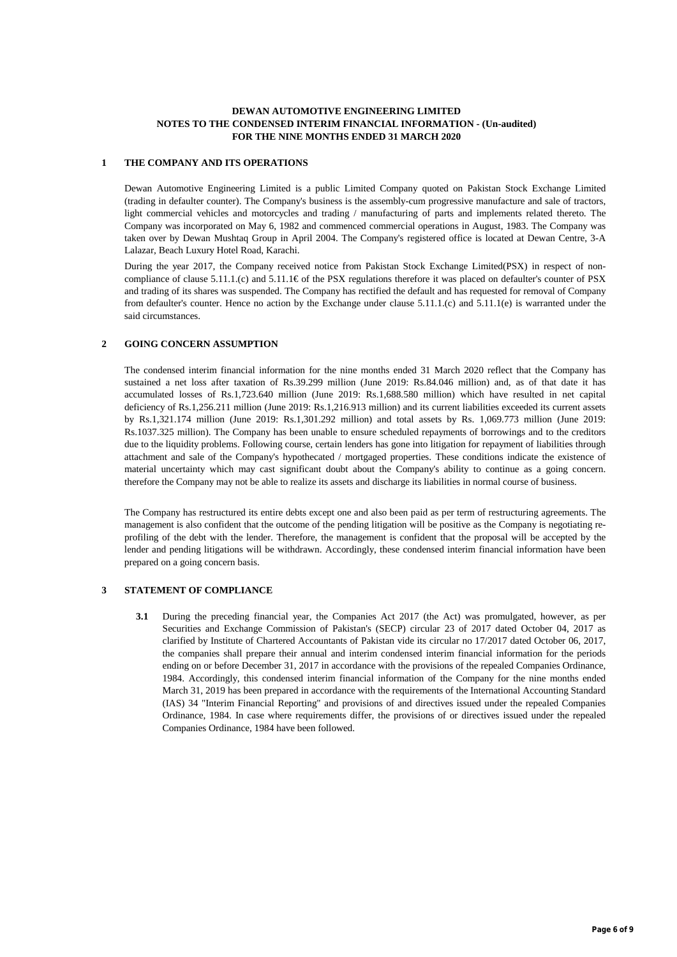#### **DEWAN AUTOMOTIVE ENGINEERING LIMITED NOTES TO THE CONDENSED INTERIM FINANCIAL INFORMATION - (Un-audited) FOR THE NINE MONTHS ENDED 31 MARCH 2020**

#### **1 THE COMPANY AND ITS OPERATIONS**

Dewan Automotive Engineering Limited is a public Limited Company quoted on Pakistan Stock Exchange Limited (trading in defaulter counter). The Company's business is the assembly-cum progressive manufacture and sale of tractors, light commercial vehicles and motorcycles and trading / manufacturing of parts and implements related thereto. The Company was incorporated on May 6, 1982 and commenced commercial operations in August, 1983. The Company was taken over by Dewan Mushtaq Group in April 2004. The Company's registered office is located at Dewan Centre, 3-A Lalazar, Beach Luxury Hotel Road, Karachi.

During the year 2017, the Company received notice from Pakistan Stock Exchange Limited(PSX) in respect of noncompliance of clause 5.11.1.(c) and 5.11.1€ of the PSX regulations therefore it was placed on defaulter's counter of PSX and trading of its shares was suspended. The Company has rectified the default and has requested for removal of Company from defaulter's counter. Hence no action by the Exchange under clause 5.11.1.(c) and 5.11.1(e) is warranted under the said circumstances.

#### **2 GOING CONCERN ASSUMPTION**

The condensed interim financial information for the nine months ended 31 March 2020 reflect that the Company has sustained a net loss after taxation of Rs.39.299 million (June 2019: Rs.84.046 million) and, as of that date it has accumulated losses of Rs.1,723.640 million (June 2019: Rs.1,688.580 million) which have resulted in net capital deficiency of Rs.1,256.211 million (June 2019: Rs.1,216.913 million) and its current liabilities exceeded its current assets by Rs.1,321.174 million (June 2019: Rs.1,301.292 million) and total assets by Rs. 1,069.773 million (June 2019: Rs.1037.325 million). The Company has been unable to ensure scheduled repayments of borrowings and to the creditors due to the liquidity problems. Following course, certain lenders has gone into litigation for repayment of liabilities through attachment and sale of the Company's hypothecated / mortgaged properties. These conditions indicate the existence of material uncertainty which may cast significant doubt about the Company's ability to continue as a going concern. therefore the Company may not be able to realize its assets and discharge its liabilities in normal course of business.

The Company has restructured its entire debts except one and also been paid as per term of restructuring agreements. The management is also confident that the outcome of the pending litigation will be positive as the Company is negotiating reprofiling of the debt with the lender. Therefore, the management is confident that the proposal will be accepted by the lender and pending litigations will be withdrawn. Accordingly, these condensed interim financial information have been prepared on a going concern basis.

#### **3 STATEMENT OF COMPLIANCE**

**3.1** During the preceding financial year, the Companies Act 2017 (the Act) was promulgated, however, as per Securities and Exchange Commission of Pakistan's (SECP) circular 23 of 2017 dated October 04, 2017 as clarified by Institute of Chartered Accountants of Pakistan vide its circular no 17/2017 dated October 06, 2017, the companies shall prepare their annual and interim condensed interim financial information for the periods ending on or before December 31, 2017 in accordance with the provisions of the repealed Companies Ordinance, 1984. Accordingly, this condensed interim financial information of the Company for the nine months ended March 31, 2019 has been prepared in accordance with the requirements of the International Accounting Standard (IAS) 34 "Interim Financial Reporting" and provisions of and directives issued under the repealed Companies Ordinance, 1984. In case where requirements differ, the provisions of or directives issued under the repealed Companies Ordinance, 1984 have been followed.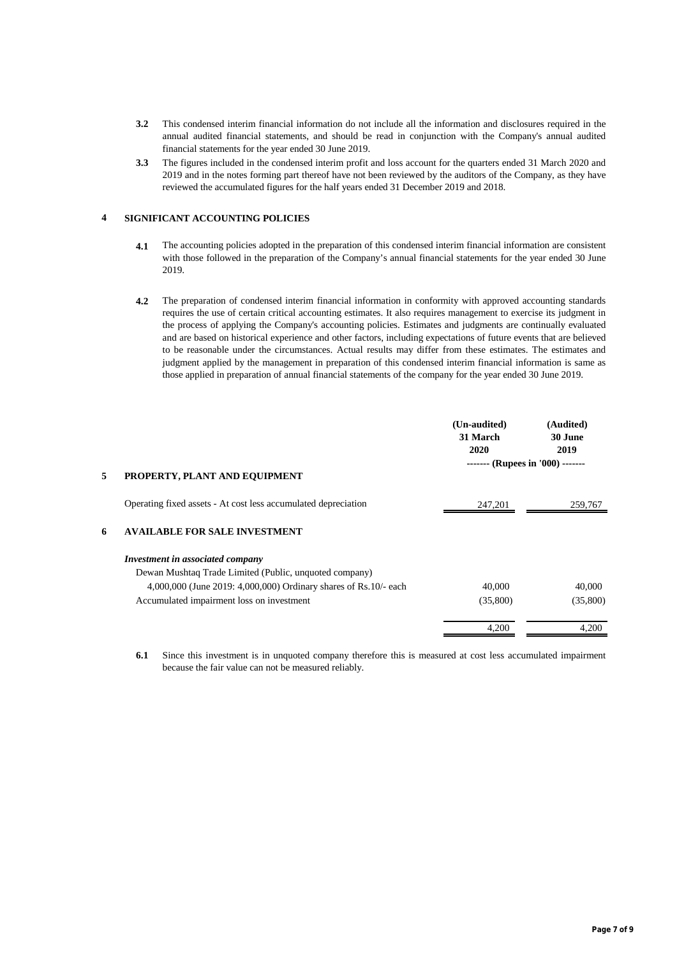- **3.2** This condensed interim financial information do not include all the information and disclosures required in the annual audited financial statements, and should be read in conjunction with the Company's annual audited financial statements for the year ended 30 June 2019.
- **3.3** The figures included in the condensed interim profit and loss account for the quarters ended 31 March 2020 and 2019 and in the notes forming part thereof have not been reviewed by the auditors of the Company, as they have reviewed the accumulated figures for the half years ended 31 December 2019 and 2018.

### **4 SIGNIFICANT ACCOUNTING POLICIES**

- **4.1** The accounting policies adopted in the preparation of this condensed interim financial information are consistent with those followed in the preparation of the Company's annual financial statements for the year ended 30 June 2019.
- **4.2** The preparation of condensed interim financial information in conformity with approved accounting standards requires the use of certain critical accounting estimates. It also requires management to exercise its judgment in the process of applying the Company's accounting policies. Estimates and judgments are continually evaluated and are based on historical experience and other factors, including expectations of future events that are believed to be reasonable under the circumstances. Actual results may differ from these estimates. The estimates and judgment applied by the management in preparation of this condensed interim financial information is same as those applied in preparation of annual financial statements of the company for the year ended 30 June 2019.

|   |                                                                  | (Un-audited)<br>31 March<br>2020 | (Audited)<br>30 June<br>2019     |
|---|------------------------------------------------------------------|----------------------------------|----------------------------------|
| 5 | PROPERTY, PLANT AND EQUIPMENT                                    |                                  | ------- (Rupees in '000) ------- |
|   | Operating fixed assets - At cost less accumulated depreciation   | 247,201                          | 259,767                          |
| 6 | <b>AVAILABLE FOR SALE INVESTMENT</b>                             |                                  |                                  |
|   | Investment in associated company                                 |                                  |                                  |
|   | Dewan Mushtaq Trade Limited (Public, unquoted company)           |                                  |                                  |
|   | 4,000,000 (June 2019: 4,000,000) Ordinary shares of Rs.10/- each | 40,000                           | 40,000                           |
|   | Accumulated impairment loss on investment                        | (35,800)                         | (35,800)                         |
|   |                                                                  | 4,200                            | 4.200                            |

**6.1** Since this investment is in unquoted company therefore this is measured at cost less accumulated impairment because the fair value can not be measured reliably.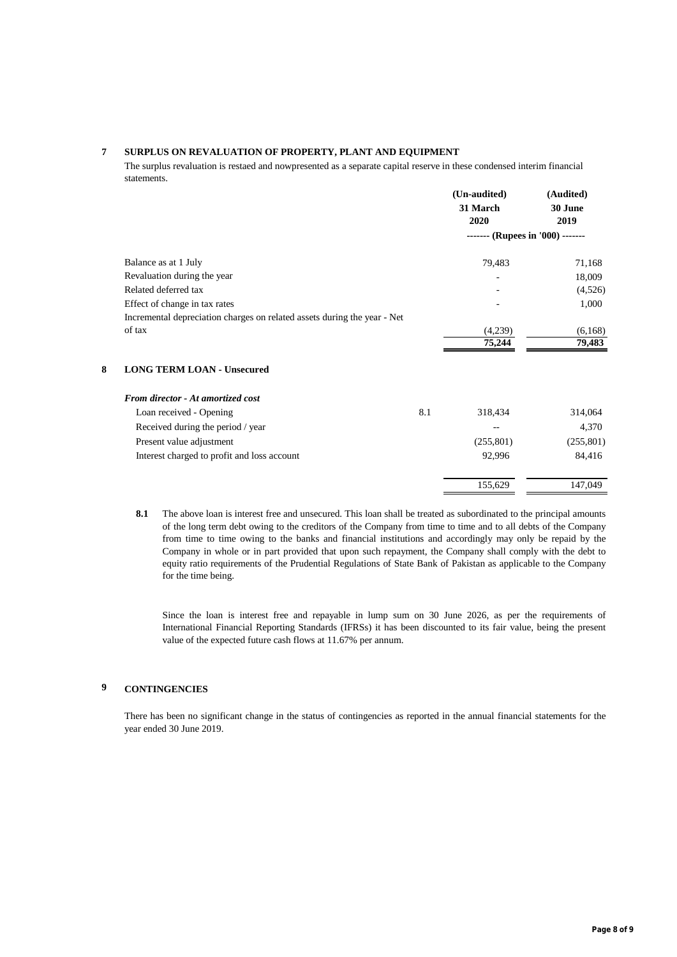#### **7 SURPLUS ON REVALUATION OF PROPERTY, PLANT AND EQUIPMENT**

The surplus revaluation is restaed and nowpresented as a separate capital reserve in these condensed interim financial statements.

|                                                                          | 31 March<br>2020                 | 30 June    |  |
|--------------------------------------------------------------------------|----------------------------------|------------|--|
|                                                                          |                                  |            |  |
|                                                                          |                                  | 2019       |  |
|                                                                          | ------- (Rupees in '000) ------- |            |  |
| Balance as at 1 July                                                     | 79,483                           | 71,168     |  |
| Revaluation during the year                                              |                                  | 18,009     |  |
| Related deferred tax                                                     |                                  | (4,526)    |  |
| Effect of change in tax rates                                            |                                  | 1,000      |  |
| Incremental depreciation charges on related assets during the year - Net |                                  |            |  |
| of tax                                                                   | (4,239)                          | (6,168)    |  |
|                                                                          | 75,244                           | 79,483     |  |
| 8<br><b>LONG TERM LOAN - Unsecured</b>                                   |                                  |            |  |
| From director - At amortized cost                                        |                                  |            |  |
| 8.1<br>Loan received - Opening                                           | 318,434                          | 314,064    |  |
| Received during the period / year                                        | $- -$                            | 4,370      |  |
| Present value adjustment                                                 | (255, 801)                       | (255, 801) |  |
| Interest charged to profit and loss account                              | 92,996                           | 84,416     |  |

**8.1** The above loan is interest free and unsecured. This loan shall be treated as subordinated to the principal amounts of the long term debt owing to the creditors of the Company from time to time and to all debts of the Company from time to time owing to the banks and financial institutions and accordingly may only be repaid by the Company in whole or in part provided that upon such repayment, the Company shall comply with the debt to equity ratio requirements of the Prudential Regulations of State Bank of Pakistan as applicable to the Company for the time being.

Since the loan is interest free and repayable in lump sum on 30 June 2026, as per the requirements of International Financial Reporting Standards (IFRSs) it has been discounted to its fair value, being the present value of the expected future cash flows at 11.67% per annum.

#### **9 CONTINGENCIES**

There has been no significant change in the status of contingencies as reported in the annual financial statements for the year ended 30 June 2019.

155,629 147,049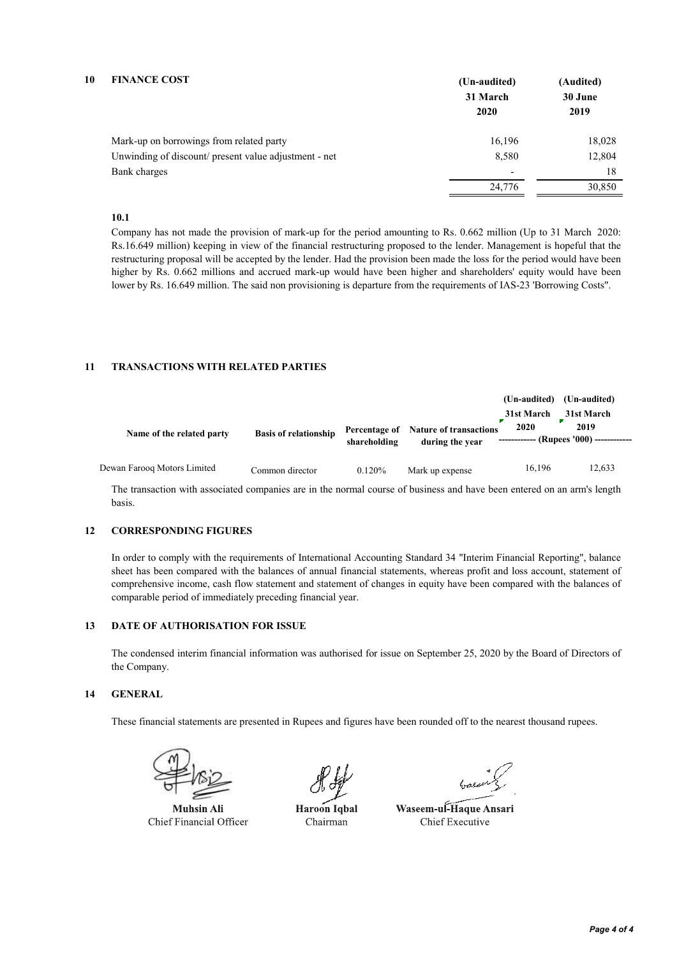| 10 | <b>FINANCE COST</b>                                   | (Un-audited)             | (Audited) |  |
|----|-------------------------------------------------------|--------------------------|-----------|--|
|    |                                                       | 31 March                 | 30 June   |  |
|    |                                                       | 2020                     | 2019      |  |
|    | Mark-up on borrowings from related party              | 16,196                   | 18,028    |  |
|    | Unwinding of discount/ present value adjustment - net | 8,580                    | 12,804    |  |
|    | Bank charges                                          | $\overline{\phantom{0}}$ | 18        |  |
|    |                                                       | 24,776                   | 30,850    |  |
|    |                                                       |                          |           |  |

### **10.1**

Company has not made the provision of mark-up for the period amounting to Rs. 0.662 million (Up to 31 March 2020: Rs.16.649 million) keeping in view of the financial restructuring proposed to the lender. Management is hopeful that the restructuring proposal will be accepted by the lender. Had the provision been made the loss for the period would have been higher by Rs. 0.662 millions and accrued mark-up would have been higher and shareholders' equity would have been lower by Rs. 16.649 million. The said non provisioning is departure from the requirements of IAS-23 'Borrowing Costs".

#### **11 TRANSACTIONS WITH RELATED PARTIES**

|                             |                              |              |                                                         | (Un-audited)<br>31st March | (Un-audited)<br>31st March                      |
|-----------------------------|------------------------------|--------------|---------------------------------------------------------|----------------------------|-------------------------------------------------|
| Name of the related party   | <b>Basis of relationship</b> | shareholding | Percentage of Nature of transactions<br>during the year | 2020                       | 2019<br>------------ (Rupees '000) ------------ |
| Dewan Faroog Motors Limited | Common director              | 0.120%       | Mark up expense                                         | 16,196                     | 12,633                                          |

The transaction with associated companies are in the normal course of business and have been entered on an arm's length basis.

#### **12 CORRESPONDING FIGURES**

In order to comply with the requirements of International Accounting Standard 34 "Interim Financial Reporting", balance sheet has been compared with the balances of annual financial statements, whereas profit and loss account, statement of comprehensive income, cash flow statement and statement of changes in equity have been compared with the balances of comparable period of immediately preceding financial year.

#### **13 DATE OF AUTHORISATION FOR ISSUE**

The condensed interim financial information was authorised for issue on September 25, 2020 by the Board of Directors of the Company.

#### **14 GENERAL**

These financial statements are presented in Rupees and figures have been rounded off to the nearest thousand rupees.



Muhsin Ali Chief Financial Officer

Haroon Iqbal Chairman

Waseem-ul-Haque Ansari Chief Executive